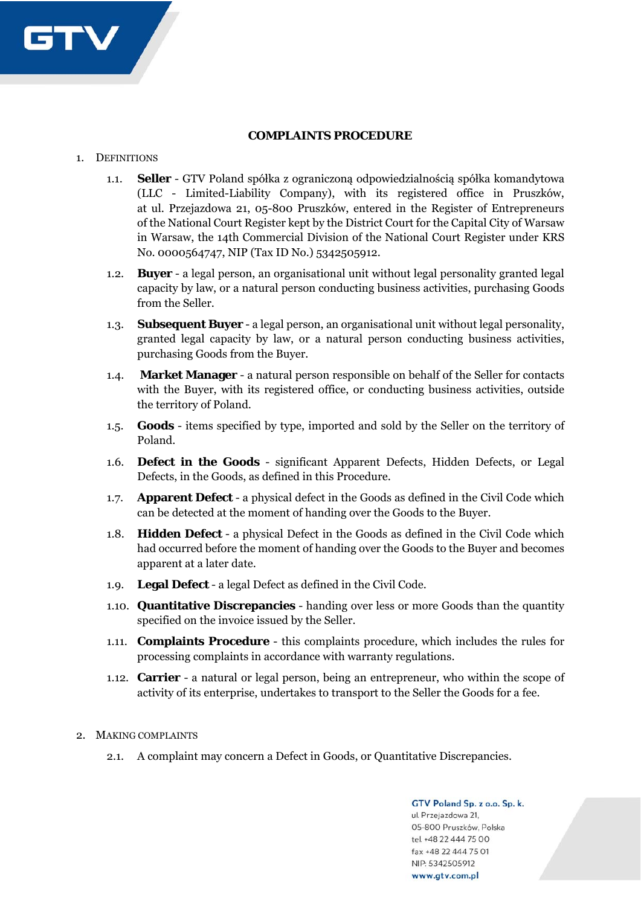

## **COMPLAINTS PROCEDURE**

## 1. DEFINITIONS

- 1.1. **Seller** GTV Poland spółka z ograniczoną odpowiedzialnością spółka komandytowa (LLC - Limited-Liability Company), with its registered office in Pruszków, at ul. Przejazdowa 21, 05-800 Pruszków, entered in the Register of Entrepreneurs of the National Court Register kept by the District Court for the Capital City of Warsaw in Warsaw, the 14th Commercial Division of the National Court Register under KRS No. 0000564747, NIP (Tax ID No.) 5342505912.
- 1.2. **Buyer** a legal person, an organisational unit without legal personality granted legal capacity by law, or a natural person conducting business activities, purchasing Goods from the Seller.
- 1.3. **Subsequent Buyer** a legal person, an organisational unit without legal personality, granted legal capacity by law, or a natural person conducting business activities, purchasing Goods from the Buyer.
- 1.4. **Market Manager** a natural person responsible on behalf of the Seller for contacts with the Buyer, with its registered office, or conducting business activities, outside the territory of Poland.
- 1.5. **Goods** items specified by type, imported and sold by the Seller on the territory of Poland.
- 1.6. **Defect in the Goods** significant Apparent Defects, Hidden Defects, or Legal Defects, in the Goods, as defined in this Procedure.
- 1.7. **Apparent Defect** a physical defect in the Goods as defined in the Civil Code which can be detected at the moment of handing over the Goods to the Buyer.
- 1.8. **Hidden Defect** a physical Defect in the Goods as defined in the Civil Code which had occurred before the moment of handing over the Goods to the Buyer and becomes apparent at a later date.
- 1.9. **Legal Defect** a legal Defect as defined in the Civil Code.
- 1.10. **Quantitative Discrepancies** handing over less or more Goods than the quantity specified on the invoice issued by the Seller.
- 1.11. **Complaints Procedure** this complaints procedure, which includes the rules for processing complaints in accordance with warranty regulations.
- 1.12. **Carrier**  a natural or legal person, being an entrepreneur, who within the scope of activity of its enterprise, undertakes to transport to the Seller the Goods for a fee.
- 2. MAKING COMPLAINTS
	- 2.1. A complaint may concern a Defect in Goods, or Quantitative Discrepancies.

GTV Poland Sp. z o.o. Sp. k. ul. Przejazdowa 21, 05-800 Pruszków, Polska tel. +48 22 444 75 00 fax +48 22 444 75 01 NIP: 5342505912 www.gtv.com.pl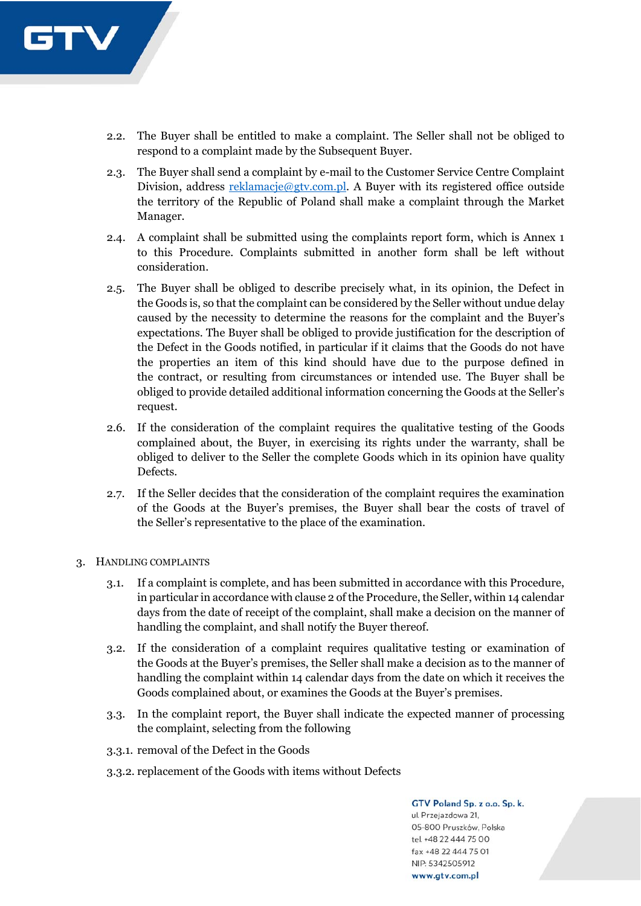

- 2.2. The Buyer shall be entitled to make a complaint. The Seller shall not be obliged to respond to a complaint made by the Subsequent Buyer.
- 2.3. The Buyer shall send a complaint by e-mail to the Customer Service Centre Complaint Division, address reklamacje@gtv.com.pl. A Buyer with its registered office outside the territory of the Republic of Poland shall make a complaint through the Market Manager.
- 2.4. A complaint shall be submitted using the complaints report form, which is Annex 1 to this Procedure. Complaints submitted in another form shall be left without consideration.
- 2.5. The Buyer shall be obliged to describe precisely what, in its opinion, the Defect in the Goods is, so that the complaint can be considered by the Seller without undue delay caused by the necessity to determine the reasons for the complaint and the Buyer's expectations. The Buyer shall be obliged to provide justification for the description of the Defect in the Goods notified, in particular if it claims that the Goods do not have the properties an item of this kind should have due to the purpose defined in the contract, or resulting from circumstances or intended use. The Buyer shall be obliged to provide detailed additional information concerning the Goods at the Seller's request.
- 2.6. If the consideration of the complaint requires the qualitative testing of the Goods complained about, the Buyer, in exercising its rights under the warranty, shall be obliged to deliver to the Seller the complete Goods which in its opinion have quality Defects.
- 2.7. If the Seller decides that the consideration of the complaint requires the examination of the Goods at the Buyer's premises, the Buyer shall bear the costs of travel of the Seller's representative to the place of the examination.
- 3. HANDLING COMPLAINTS
	- 3.1. If a complaint is complete, and has been submitted in accordance with this Procedure, in particular in accordance with clause 2 of the Procedure, the Seller, within 14 calendar days from the date of receipt of the complaint, shall make a decision on the manner of handling the complaint, and shall notify the Buyer thereof.
	- 3.2. If the consideration of a complaint requires qualitative testing or examination of the Goods at the Buyer's premises, the Seller shall make a decision as to the manner of handling the complaint within 14 calendar days from the date on which it receives the Goods complained about, or examines the Goods at the Buyer's premises.
	- 3.3. In the complaint report, the Buyer shall indicate the expected manner of processing the complaint, selecting from the following
	- 3.3.1. removal of the Defect in the Goods
	- 3.3.2. replacement of the Goods with items without Defects

GTV Poland Sp. z o.o. Sp. k. ul. Przejazdowa 21, 05-800 Pruszków, Polska tel. +48 22 444 75 00 fax +48 22 444 75 01 NIP: 5342505912 www.gtv.com.pl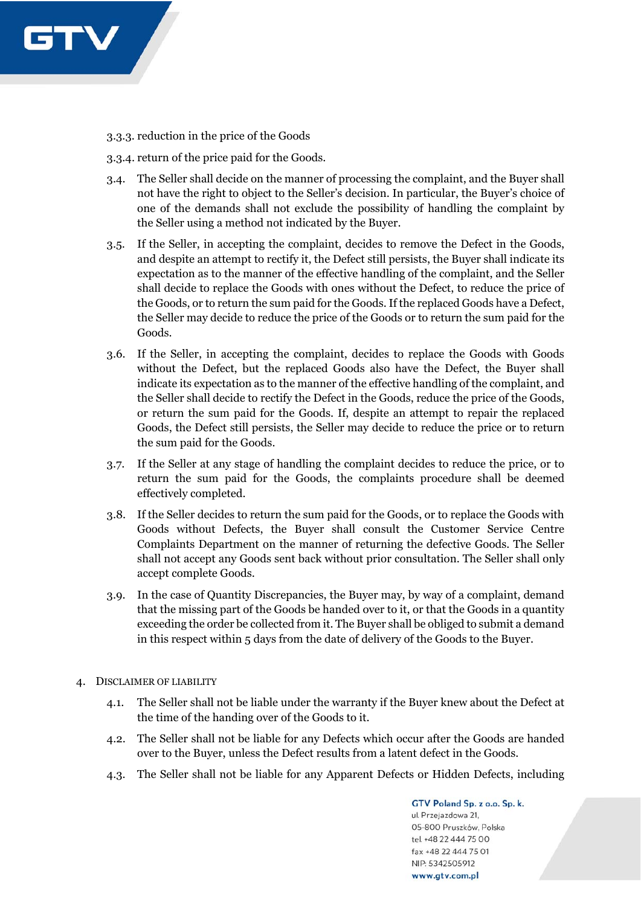

3.3.3. reduction in the price of the Goods

3.3.4. return of the price paid for the Goods.

- 3.4. The Seller shall decide on the manner of processing the complaint, and the Buyer shall not have the right to object to the Seller's decision. In particular, the Buyer's choice of one of the demands shall not exclude the possibility of handling the complaint by the Seller using a method not indicated by the Buyer.
- 3.5. If the Seller, in accepting the complaint, decides to remove the Defect in the Goods, and despite an attempt to rectify it, the Defect still persists, the Buyer shall indicate its expectation as to the manner of the effective handling of the complaint, and the Seller shall decide to replace the Goods with ones without the Defect, to reduce the price of the Goods, or to return the sum paid for the Goods. If the replaced Goods have a Defect, the Seller may decide to reduce the price of the Goods or to return the sum paid for the Goods.
- 3.6. If the Seller, in accepting the complaint, decides to replace the Goods with Goods without the Defect, but the replaced Goods also have the Defect, the Buyer shall indicate its expectation as to the manner of the effective handling of the complaint, and the Seller shall decide to rectify the Defect in the Goods, reduce the price of the Goods, or return the sum paid for the Goods. If, despite an attempt to repair the replaced Goods, the Defect still persists, the Seller may decide to reduce the price or to return the sum paid for the Goods.
- 3.7. If the Seller at any stage of handling the complaint decides to reduce the price, or to return the sum paid for the Goods, the complaints procedure shall be deemed effectively completed.
- 3.8. If the Seller decides to return the sum paid for the Goods, or to replace the Goods with Goods without Defects, the Buyer shall consult the Customer Service Centre Complaints Department on the manner of returning the defective Goods. The Seller shall not accept any Goods sent back without prior consultation. The Seller shall only accept complete Goods.
- 3.9. In the case of Quantity Discrepancies, the Buyer may, by way of a complaint, demand that the missing part of the Goods be handed over to it, or that the Goods in a quantity exceeding the order be collected from it. The Buyer shall be obliged to submit a demand in this respect within 5 days from the date of delivery of the Goods to the Buyer.
- 4. DISCLAIMER OF LIABILITY
	- 4.1. The Seller shall not be liable under the warranty if the Buyer knew about the Defect at the time of the handing over of the Goods to it.
	- 4.2. The Seller shall not be liable for any Defects which occur after the Goods are handed over to the Buyer, unless the Defect results from a latent defect in the Goods.
	- 4.3. The Seller shall not be liable for any Apparent Defects or Hidden Defects, including

GTV Poland Sp. z o.o. Sp. k. ul. Przejazdowa 21, 05-800 Pruszków, Polska tel. +48 22 444 75 00 fax +48 22 444 75 01 NIP: 5342505912 www.gtv.com.pl